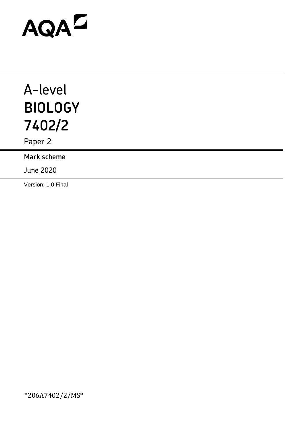# AQAD

## A-level **BIOLOGY 7402/2**

Paper 2

**Mark scheme**

June 2020

Version: 1.0 Final

\*206A7402/2/MS\*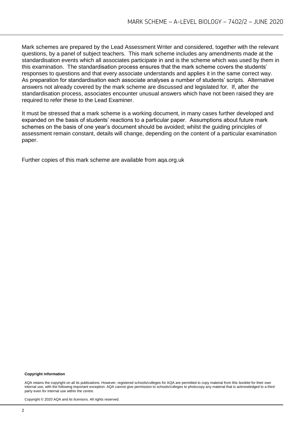Mark schemes are prepared by the Lead Assessment Writer and considered, together with the relevant questions, by a panel of subject teachers. This mark scheme includes any amendments made at the standardisation events which all associates participate in and is the scheme which was used by them in this examination. The standardisation process ensures that the mark scheme covers the students' responses to questions and that every associate understands and applies it in the same correct way. As preparation for standardisation each associate analyses a number of students' scripts. Alternative answers not already covered by the mark scheme are discussed and legislated for. If, after the standardisation process, associates encounter unusual answers which have not been raised they are required to refer these to the Lead Examiner.

It must be stressed that a mark scheme is a working document, in many cases further developed and expanded on the basis of students' reactions to a particular paper. Assumptions about future mark schemes on the basis of one year's document should be avoided; whilst the guiding principles of assessment remain constant, details will change, depending on the content of a particular examination paper.

Further copies of this mark scheme are available from aqa.org.uk

#### **Copyright information**

AQA retains the copyright on all its publications. However, registered schools/colleges for AQA are permitted to copy material from this booklet for their own internal use, with the following important exception: AQA cannot give permission to schools/colleges to photocopy any material that is acknowledged to a third party even for internal use within the centre.

Copyright © 2020 AQA and its licensors. All rights reserved.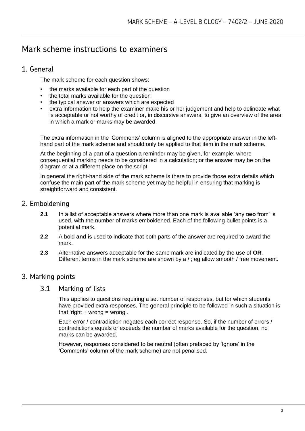### Mark scheme instructions to examiners

#### 1. General

The mark scheme for each question shows:

- the marks available for each part of the question
- the total marks available for the question
- the typical answer or answers which are expected
- extra information to help the examiner make his or her judgement and help to delineate what is acceptable or not worthy of credit or, in discursive answers, to give an overview of the area in which a mark or marks may be awarded.

The extra information in the 'Comments' column is aligned to the appropriate answer in the lefthand part of the mark scheme and should only be applied to that item in the mark scheme.

At the beginning of a part of a question a reminder may be given, for example: where consequential marking needs to be considered in a calculation; or the answer may be on the diagram or at a different place on the script.

In general the right-hand side of the mark scheme is there to provide those extra details which confuse the main part of the mark scheme yet may be helpful in ensuring that marking is straightforward and consistent.

#### 2. Emboldening

- **2.1** In a list of acceptable answers where more than one mark is available 'any **two** from' is used, with the number of marks emboldened. Each of the following bullet points is a potential mark.
- **2.2** A bold **and** is used to indicate that both parts of the answer are required to award the mark.
- **2.3** Alternative answers acceptable for the same mark are indicated by the use of **OR**. Different terms in the mark scheme are shown by a / ; eg allow smooth / free movement.

#### 3. Marking points

#### 3.1 Marking of lists

This applies to questions requiring a set number of responses, but for which students have provided extra responses. The general principle to be followed in such a situation is that 'right  $+$  wrong = wrong'.

Each error / contradiction negates each correct response. So, if the number of errors / contradictions equals or exceeds the number of marks available for the question, no marks can be awarded.

However, responses considered to be neutral (often prefaced by 'Ignore' in the 'Comments' column of the mark scheme) are not penalised.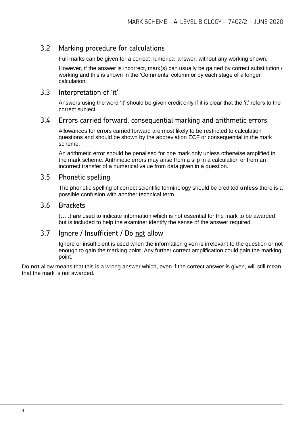#### 3.2 Marking procedure for calculations

Full marks can be given for a correct numerical answer, without any working shown.

However, if the answer is incorrect, mark(s) can usually be gained by correct substitution / working and this is shown in the 'Comments' column or by each stage of a longer calculation.

#### 3.3 Interpretation of 'it'

Answers using the word 'it' should be given credit only if it is clear that the 'it' refers to the correct subject.

#### 3.4 Errors carried forward, consequential marking and arithmetic errors

Allowances for errors carried forward are most likely to be restricted to calculation questions and should be shown by the abbreviation ECF or consequential in the mark scheme.

An arithmetic error should be penalised for one mark only unless otherwise amplified in the mark scheme. Arithmetic errors may arise from a slip in a calculation or from an incorrect transfer of a numerical value from data given in a question.

#### 3.5 Phonetic spelling

The phonetic spelling of correct scientific terminology should be credited **unless** there is a possible confusion with another technical term.

#### 3.6 Brackets

(…..) are used to indicate information which is not essential for the mark to be awarded but is included to help the examiner identify the sense of the answer required.

#### 3.7 Ignore / Insufficient / Do not allow

Ignore or insufficient is used when the information given is irrelevant to the question or not enough to gain the marking point. Any further correct amplification could gain the marking point.

Do **not** allow means that this is a wrong answer which, even if the correct answer is given, will still mean that the mark is not awarded.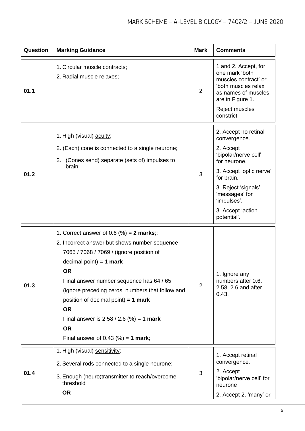| <b>Question</b> | <b>Marking Guidance</b>                                                                                                                                                                                                                                                                                                                                                                                                                  | <b>Mark</b>    | <b>Comments</b>                                                                                                                                                                                                                 |
|-----------------|------------------------------------------------------------------------------------------------------------------------------------------------------------------------------------------------------------------------------------------------------------------------------------------------------------------------------------------------------------------------------------------------------------------------------------------|----------------|---------------------------------------------------------------------------------------------------------------------------------------------------------------------------------------------------------------------------------|
| 01.1            | 1. Circular muscle contracts;<br>2. Radial muscle relaxes;                                                                                                                                                                                                                                                                                                                                                                               | $\overline{2}$ | 1 and 2. Accept, for<br>one mark 'both<br>muscles contract' or<br>'both muscles relax'<br>as names of muscles<br>are in Figure 1.<br>Reject muscles<br>constrict.                                                               |
| 01.2            | 1. High (visual) acuity;<br>2. (Each) cone is connected to a single neurone;<br>(Cones send) separate (sets of) impulses to<br>2.<br>brain;                                                                                                                                                                                                                                                                                              | 3              | 2. Accept no retinal<br>convergence.<br>2. Accept<br>'bipolar/nerve cell'<br>for neurone.<br>3. Accept 'optic nerve'<br>for brain.<br>3. Reject 'signals',<br>'messages' for<br>'impulses'.<br>3. Accept 'action<br>potential'. |
| 01.3            | 1. Correct answer of 0.6 $%$ = 2 marks;;<br>2. Incorrect answer but shows number sequence<br>7065 / 7068 / 7069 / (ignore position of<br>decimal point) = $1$ mark<br><b>OR</b><br>Final answer number sequence has 64 / 65<br>(ignore preceding zeros, numbers that follow and<br>position of decimal point) = $1$ mark<br><b>OR</b><br>Final answer is $2.58 / 2.6$ (%) = 1 mark<br><b>OR</b><br>Final answer of 0.43 $(\%) = 1$ mark; | 2              | 1. Ignore any<br>numbers after 0.6,<br>2.58, 2.6 and after<br>0.43.                                                                                                                                                             |
| 01.4            | 1. High (visual) sensitivity;<br>2. Several rods connected to a single neurone;<br>3. Enough (neuro)transmitter to reach/overcome<br>threshold<br><b>OR</b>                                                                                                                                                                                                                                                                              | 3              | 1. Accept retinal<br>convergence.<br>2. Accept<br>'bipolar/nerve cell' for<br>neurone<br>2. Accept 2, 'many' or                                                                                                                 |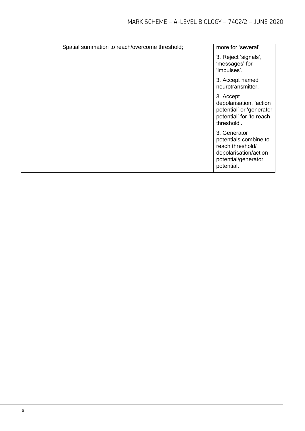| Spatial summation to reach/overcome threshold; | more for 'several'                                                                                                      |
|------------------------------------------------|-------------------------------------------------------------------------------------------------------------------------|
|                                                | 3. Reject 'signals',<br>'messages' for<br>'impulses'.                                                                   |
|                                                | 3. Accept named<br>neurotransmitter.                                                                                    |
|                                                | 3. Accept<br>depolarisation, 'action<br>potential' or 'generator<br>potential' for 'to reach<br>threshold'.             |
|                                                | 3. Generator<br>potentials combine to<br>reach threshold/<br>depolarisation/action<br>potential/generator<br>potential. |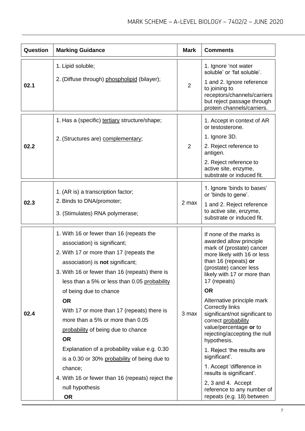| Question | <b>Marking Guidance</b>                                                                                                                                                                                                                                                                                                                                                                                                                                                                                                                                                                                                                     | <b>Mark</b>    | <b>Comments</b>                                                                                                                                                                                                                                                                                                                                                                                                                                                                                                                                                                                                |
|----------|---------------------------------------------------------------------------------------------------------------------------------------------------------------------------------------------------------------------------------------------------------------------------------------------------------------------------------------------------------------------------------------------------------------------------------------------------------------------------------------------------------------------------------------------------------------------------------------------------------------------------------------------|----------------|----------------------------------------------------------------------------------------------------------------------------------------------------------------------------------------------------------------------------------------------------------------------------------------------------------------------------------------------------------------------------------------------------------------------------------------------------------------------------------------------------------------------------------------------------------------------------------------------------------------|
| 02.1     | 1. Lipid soluble;<br>2. (Diffuse through) phospholipid (bilayer);                                                                                                                                                                                                                                                                                                                                                                                                                                                                                                                                                                           | $\overline{2}$ | 1. Ignore 'not water<br>soluble' or 'fat soluble'.<br>1 and 2. Ignore reference<br>to joining to<br>receptors/channels/carriers<br>but reject passage through<br>protein channels/carriers.                                                                                                                                                                                                                                                                                                                                                                                                                    |
| 02.2     | 1. Has a (specific) tertiary structure/shape;<br>2. (Structures are) complementary;                                                                                                                                                                                                                                                                                                                                                                                                                                                                                                                                                         | $\overline{2}$ | 1. Accept in context of AR<br>or testosterone.<br>1. Ignore 3D.<br>2. Reject reference to<br>antigen.<br>2. Reject reference to<br>active site, enzyme,<br>substrate or induced fit.                                                                                                                                                                                                                                                                                                                                                                                                                           |
| 02.3     | 1. (AR is) a transcription factor;<br>2. Binds to DNA/promoter;<br>3. (Stimulates) RNA polymerase;                                                                                                                                                                                                                                                                                                                                                                                                                                                                                                                                          | 2 max          | 1. Ignore 'binds to bases'<br>or 'binds to gene'.<br>1 and 2. Reject reference<br>to active site, enzyme,<br>substrate or induced fit.                                                                                                                                                                                                                                                                                                                                                                                                                                                                         |
| 02.4     | 1. With 16 or fewer than 16 (repeats the<br>association) is significant;<br>2. With 17 or more than 17 (repeats the<br>association) is <b>not</b> significant;<br>3. With 16 or fewer than 16 (repeats) there is<br>less than a 5% or less than 0.05 probability<br>of being due to chance<br><b>OR</b><br>With 17 or more than 17 (repeats) there is<br>more than a 5% or more than 0.05<br>probability of being due to chance<br><b>OR</b><br>Explanation of a probability value e.g. 0.30<br>is a 0.30 or 30% probability of being due to<br>chance;<br>4. With 16 or fewer than 16 (repeats) reject the<br>null hypothesis<br><b>OR</b> | 3 max          | If none of the marks is<br>awarded allow principle<br>mark of (prostate) cancer<br>more likely with 16 or less<br>than 16 (repeats) or<br>(prostate) cancer less<br>likely with 17 or more than<br>17 (repeats)<br><b>OR</b><br>Alternative principle mark<br><b>Correctly links</b><br>significant/not significant to<br>correct probability<br>value/percentage or to<br>rejecting/accepting the null<br>hypothesis.<br>1. Reject 'the results are<br>significant'.<br>1. Accept 'difference in<br>results is significant'.<br>2, 3 and 4. Accept<br>reference to any number of<br>repeats (e.g. 18) between |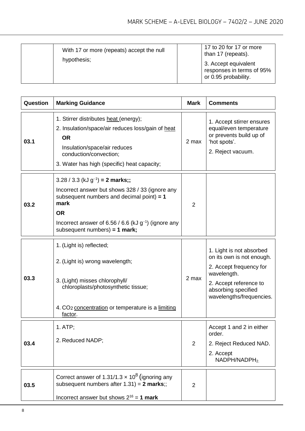| With 17 or more (repeats) accept the null<br>hypothesis; | 17 to 20 for 17 or more<br>than 17 (repeats).<br>3. Accept equivalent<br>responses in terms of 95%<br>or 0.95 probability. |
|----------------------------------------------------------|----------------------------------------------------------------------------------------------------------------------------|
|----------------------------------------------------------|----------------------------------------------------------------------------------------------------------------------------|

| Question | <b>Marking Guidance</b>                                                                                                                                                                                                                                             | <b>Mark</b>    | <b>Comments</b>                                                                                                                                                              |
|----------|---------------------------------------------------------------------------------------------------------------------------------------------------------------------------------------------------------------------------------------------------------------------|----------------|------------------------------------------------------------------------------------------------------------------------------------------------------------------------------|
| 03.1     | 1. Stirrer distributes heat (energy);<br>2. Insulation/space/air reduces loss/gain of heat<br><b>OR</b><br>Insulation/space/air reduces<br>conduction/convection;<br>3. Water has high (specific) heat capacity;                                                    | 2 max          | 1. Accept stirrer ensures<br>equal/even temperature<br>or prevents build up of<br>'hot spots'.<br>2. Reject vacuum.                                                          |
| 03.2     | $3.28 / 3.3$ (kJ g <sup>-1</sup> ) = 2 marks;;<br>Incorrect answer but shows 328 / 33 (ignore any<br>subsequent numbers and decimal point) $= 1$<br>mark<br><b>OR</b><br>Incorrect answer of 6.56 / 6.6 (kJ $g^{-1}$ ) (ignore any<br>subsequent numbers) = 1 mark; | $\overline{2}$ |                                                                                                                                                                              |
| 03.3     | 1. (Light is) reflected;<br>2. (Light is) wrong wavelength;<br>3. (Light) misses chlorophyll/<br>chloroplasts/photosynthetic tissue;<br>4. CO <sub>2</sub> concentration or temperature is a limiting<br>factor.                                                    | 2 max          | 1. Light is not absorbed<br>on its own is not enough.<br>2. Accept frequency for<br>wavelength.<br>2. Accept reference to<br>absorbing specified<br>wavelengths/frequencies. |
| 03.4     | 1. ATP;<br>2. Reduced NADP;                                                                                                                                                                                                                                         | $\overline{2}$ | Accept 1 and 2 in either<br>order.<br>2. Reject Reduced NAD.<br>2. Accept<br>NADPH/NADPH <sub>2</sub>                                                                        |
| 03.5     | Correct answer of 1.31/1.3 $\times$ 10 <sup>8</sup> (ignoring any<br>subsequent numbers after $1.31$ ) = 2 marks;;<br>Incorrect answer but shows $2^{16} = 1$ mark                                                                                                  | 2              |                                                                                                                                                                              |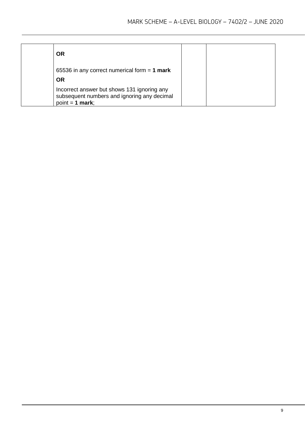| <b>OR</b>                                                                                                       |  |
|-----------------------------------------------------------------------------------------------------------------|--|
| 65536 in any correct numerical form $= 1$ mark<br><b>OR</b>                                                     |  |
| Incorrect answer but shows 131 ignoring any<br>subsequent numbers and ignoring any decimal<br>$point = 1$ mark; |  |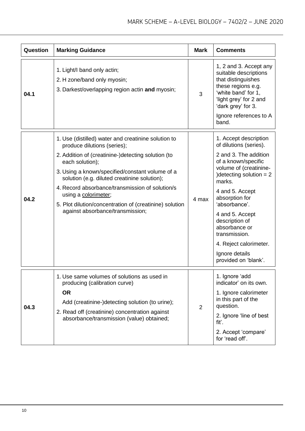| Question | <b>Marking Guidance</b>                                                                                                                                                                                                                                                                                                                                                                                                                  | <b>Mark</b> | <b>Comments</b>                                                                                                                                                                                                                                                                                                                                                    |
|----------|------------------------------------------------------------------------------------------------------------------------------------------------------------------------------------------------------------------------------------------------------------------------------------------------------------------------------------------------------------------------------------------------------------------------------------------|-------------|--------------------------------------------------------------------------------------------------------------------------------------------------------------------------------------------------------------------------------------------------------------------------------------------------------------------------------------------------------------------|
| 04.1     | 1. Light/I band only actin;<br>2. H zone/band only myosin;<br>3. Darkest/overlapping region actin and myosin;                                                                                                                                                                                                                                                                                                                            | 3           | 1, 2 and 3. Accept any<br>suitable descriptions<br>that distinguishes<br>these regions e.g.<br>'white band' for 1,<br>'light grey' for 2 and<br>'dark grey' for 3.<br>Ignore references to A<br>band.                                                                                                                                                              |
| 04.2     | 1. Use (distilled) water and creatinine solution to<br>produce dilutions (series);<br>2. Addition of (creatinine-)detecting solution (to<br>each solution);<br>3. Using a known/specified/constant volume of a<br>solution (e.g. diluted creatinine solution);<br>4. Record absorbance/transmission of solution/s<br>using a colorimeter;<br>5. Plot dilution/concentration of (creatinine) solution<br>against absorbance/transmission; | 4 max       | 1. Accept description<br>of dilutions (series).<br>2 and 3. The addition<br>of a known/specific<br>volume of (creatinine-<br>) detecting solution $= 2$<br>marks.<br>4 and 5. Accept<br>absorption for<br>'absorbance'.<br>4 and 5. Accept<br>description of<br>absorbance or<br>transmission.<br>4. Reject calorimeter.<br>Ignore details<br>provided on 'blank'. |
| 04.3     | 1. Use same volumes of solutions as used in<br>producing (calibration curve)<br><b>OR</b><br>Add (creatinine-)detecting solution (to urine);<br>2. Read off (creatinine) concentration against<br>absorbance/transmission (value) obtained;                                                                                                                                                                                              | 2           | 1. Ignore 'add<br>indicator' on its own.<br>1. Ignore calorimeter<br>in this part of the<br>question.<br>2. Ignore 'line of best<br>fit'.<br>2. Accept 'compare'<br>for 'read off'.                                                                                                                                                                                |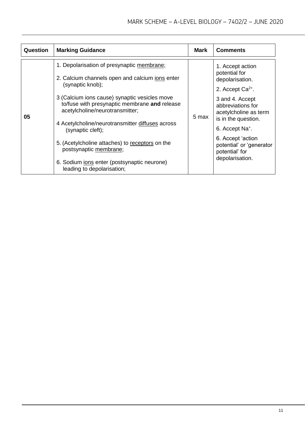| 1. Depolarisation of presynaptic membrane;<br>1. Accept action<br>potential for<br>2. Calcium channels open and calcium ions enter<br>depolarisation.<br>(synaptic knob);<br>2. Accept $Ca2+$ .<br>3 (Calcium ions cause) synaptic vesicles move<br>3 and 4. Accept<br>to/fuse with presynaptic membrane and release<br>abbreviations for<br>acetylcholine/neurotransmitter;<br>acetylcholine as term<br>05<br>5 max<br>is in the question.<br>4 Acetylcholine/neurotransmitter diffuses across<br>6. Accept Na <sup>+</sup> .<br>(synaptic cleft);<br>6. Accept 'action | Question | <b>Marking Guidance</b>                         | Mark | <b>Comments</b>          |
|--------------------------------------------------------------------------------------------------------------------------------------------------------------------------------------------------------------------------------------------------------------------------------------------------------------------------------------------------------------------------------------------------------------------------------------------------------------------------------------------------------------------------------------------------------------------------|----------|-------------------------------------------------|------|--------------------------|
| postsynaptic membrane;<br>potential' for<br>depolarisation.<br>6. Sodium ions enter (postsynaptic neurone)<br>leading to depolarisation;                                                                                                                                                                                                                                                                                                                                                                                                                                 |          | 5. (Acetylcholine attaches) to receptors on the |      | potential' or 'generator |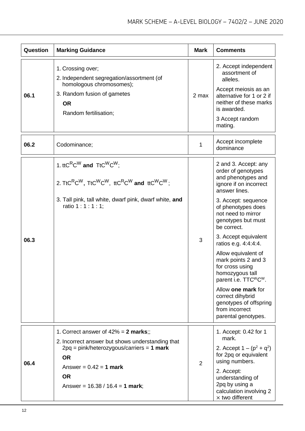| Question | <b>Marking Guidance</b>                                                                                                                                                                                                                                                                                        | <b>Mark</b> | <b>Comments</b>                                                                                                                                                                                                                                                                                                                                                                                                                                                                                                       |
|----------|----------------------------------------------------------------------------------------------------------------------------------------------------------------------------------------------------------------------------------------------------------------------------------------------------------------|-------------|-----------------------------------------------------------------------------------------------------------------------------------------------------------------------------------------------------------------------------------------------------------------------------------------------------------------------------------------------------------------------------------------------------------------------------------------------------------------------------------------------------------------------|
| 06.1     | 1. Crossing over;<br>2. Independent segregation/assortment (of<br>homologous chromosomes);<br>3. Random fusion of gametes<br><b>OR</b><br>Random fertilisation;                                                                                                                                                | 2 max       | 2. Accept independent<br>assortment of<br>alleles.<br>Accept meiosis as an<br>alternative for 1 or 2 if<br>neither of these marks<br>is awarded.<br>3 Accept random<br>mating.                                                                                                                                                                                                                                                                                                                                        |
| 06.2     | Codominance;                                                                                                                                                                                                                                                                                                   | 1           | Accept incomplete<br>dominance                                                                                                                                                                                                                                                                                                                                                                                                                                                                                        |
| 06.3     | 1. ttC <sup>R</sup> C <sup>W</sup> and $\text{Tr}C^{\text{W}}C^{\text{W}}$ ;<br>2. TtC <sup>R</sup> C <sup>W</sup> , TtC <sup>W</sup> C <sup>W</sup> , ttC <sup>R</sup> C <sup>W</sup> and ttC <sup>W</sup> C <sup>W</sup> ;<br>3. Tall pink, tall white, dwarf pink, dwarf white, and<br>ratio 1 : 1 : 1 : 1; | 3           | 2 and 3. Accept: any<br>order of genotypes<br>and phenotypes and<br>ignore if on incorrect<br>answer lines.<br>3. Accept: sequence<br>of phenotypes does<br>not need to mirror<br>genotypes but must<br>be correct.<br>3. Accept equivalent<br>ratios e.g. 4:4:4:4.<br>Allow equivalent of<br>mark points 2 and 3<br>for cross using<br>homozygous tall<br>parent i.e. TTC <sup>W</sup> C <sup>W</sup> .<br>Allow one mark for<br>correct dihybrid<br>genotypes of offspring<br>from incorrect<br>parental genotypes. |
| 06.4     | 1. Correct answer of $42\% = 2$ marks;;<br>2. Incorrect answer but shows understanding that<br>$2pq = pink/heterozygous/carriers = 1 mark$<br><b>OR</b><br>Answer = $0.42 = 1$ mark<br><b>OR</b><br>Answer = $16.38 / 16.4 = 1$ mark;                                                                          | 2           | 1. Accept: 0.42 for 1<br>mark.<br>2. Accept $1 - (p^2 + q^2)$<br>for 2pq or equivalent<br>using numbers.<br>2. Accept:<br>understanding of<br>2pq by using a<br>calculation involving 2<br>$\times$ two different                                                                                                                                                                                                                                                                                                     |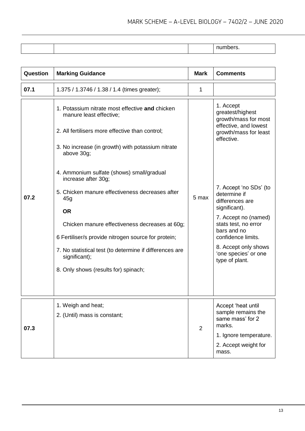| <b>Question</b> | <b>Marking Guidance</b>                                                                                                                                                                                                                                                                                                                                              | <b>Mark</b> | <b>Comments</b>                                                                                                                                                                                                                   |
|-----------------|----------------------------------------------------------------------------------------------------------------------------------------------------------------------------------------------------------------------------------------------------------------------------------------------------------------------------------------------------------------------|-------------|-----------------------------------------------------------------------------------------------------------------------------------------------------------------------------------------------------------------------------------|
| 07.1            | 1.375 / 1.3746 / 1.38 / 1.4 (times greater);                                                                                                                                                                                                                                                                                                                         | 1           |                                                                                                                                                                                                                                   |
|                 | 1. Potassium nitrate most effective and chicken<br>manure least effective;<br>2. All fertilisers more effective than control;<br>3. No increase (in growth) with potassium nitrate<br>above 30g;                                                                                                                                                                     |             | 1. Accept<br>greatest/highest<br>growth/mass for most<br>effective, and lowest<br>growth/mass for least<br>effective.                                                                                                             |
| 07.2            | 4. Ammonium sulfate (shows) small/gradual<br>increase after 30g;<br>5. Chicken manure effectiveness decreases after<br>45g<br><b>OR</b><br>Chicken manure effectiveness decreases at 60g;<br>6 Fertiliser/s provide nitrogen source for protein;<br>7. No statistical test (to determine if differences are<br>significant);<br>8. Only shows (results for) spinach; | 5 max       | 7. Accept 'no SDs' (to<br>determine if<br>differences are<br>significant).<br>7. Accept no (named)<br>stats test, no error<br>bars and no<br>confidence limits.<br>8. Accept only shows<br>'one species' or one<br>type of plant. |
| 07.3            | 1. Weigh and heat;<br>2. (Until) mass is constant;                                                                                                                                                                                                                                                                                                                   | 2           | Accept 'heat until<br>sample remains the<br>same mass' for 2<br>marks.<br>1. Ignore temperature.<br>2. Accept weight for<br>mass.                                                                                                 |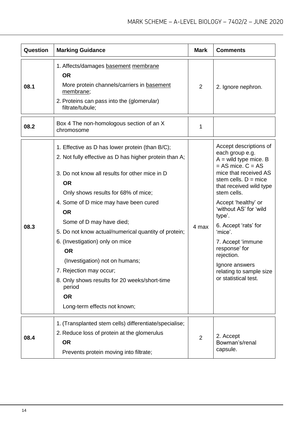| Question | <b>Marking Guidance</b>                                                                                                                                                                                                                                                                                                                                                                                                                                                                                                                                                        | <b>Mark</b>    | <b>Comments</b>                                                                                                                                                                                                                                                                                                                                                                                                   |
|----------|--------------------------------------------------------------------------------------------------------------------------------------------------------------------------------------------------------------------------------------------------------------------------------------------------------------------------------------------------------------------------------------------------------------------------------------------------------------------------------------------------------------------------------------------------------------------------------|----------------|-------------------------------------------------------------------------------------------------------------------------------------------------------------------------------------------------------------------------------------------------------------------------------------------------------------------------------------------------------------------------------------------------------------------|
| 08.1     | 1. Affects/damages basement membrane<br><b>OR</b><br>More protein channels/carriers in basement<br>membrane;<br>2. Proteins can pass into the (glomerular)<br>filtrate/tubule;                                                                                                                                                                                                                                                                                                                                                                                                 | $\overline{2}$ | 2. Ignore nephron.                                                                                                                                                                                                                                                                                                                                                                                                |
| 08.2     | Box 4 The non-homologous section of an X<br>chromosome                                                                                                                                                                                                                                                                                                                                                                                                                                                                                                                         | 1              |                                                                                                                                                                                                                                                                                                                                                                                                                   |
| 08.3     | 1. Effective as D has lower protein (than B/C);<br>2. Not fully effective as D has higher protein than A;<br>3. Do not know all results for other mice in D<br><b>OR</b><br>Only shows results for 68% of mice;<br>4. Some of D mice may have been cured<br><b>OR</b><br>Some of D may have died;<br>5. Do not know actual/numerical quantity of protein;<br>6. (Investigation) only on mice<br><b>OR</b><br>(Investigation) not on humans;<br>7. Rejection may occur;<br>8. Only shows results for 20 weeks/short-time<br>period<br><b>OR</b><br>Long-term effects not known; | 4 max          | Accept descriptions of<br>each group e.g.<br>$A =$ wild type mice. B<br>$= AS$ mice. $C = AS$<br>mice that received AS<br>stem cells. $D =$ mice<br>that received wild type<br>stem cells.<br>Accept 'healthy' or<br>'without AS' for 'wild<br>type'.<br>6. Accept 'rats' for<br>'mice'.<br>7. Accept 'immune<br>response' for<br>rejection.<br>Ignore answers<br>relating to sample size<br>or statistical test. |
| 08.4     | 1. (Transplanted stem cells) differentiate/specialise;<br>2. Reduce loss of protein at the glomerulus<br><b>OR</b><br>Prevents protein moving into filtrate;                                                                                                                                                                                                                                                                                                                                                                                                                   | 2              | 2. Accept<br>Bowman's/renal<br>capsule.                                                                                                                                                                                                                                                                                                                                                                           |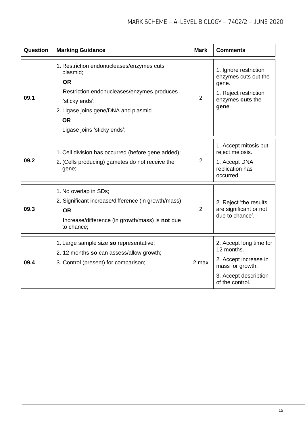| Question | <b>Marking Guidance</b>                                                                                                                                                                                                | <b>Mark</b>    | <b>Comments</b>                                                                                                                |
|----------|------------------------------------------------------------------------------------------------------------------------------------------------------------------------------------------------------------------------|----------------|--------------------------------------------------------------------------------------------------------------------------------|
| 09.1     | 1. Restriction endonucleases/enzymes cuts<br>plasmid;<br><b>OR</b><br>Restriction endonucleases/enzymes produces<br>'sticky ends';<br>2. Ligase joins gene/DNA and plasmid<br><b>OR</b><br>Ligase joins 'sticky ends'; | 2              | 1. Ignore restriction<br>enzymes cuts out the<br>gene.<br>1. Reject restriction<br>enzymes cuts the<br>gene.                   |
| 09.2     | 1. Cell division has occurred (before gene added);<br>2. (Cells producing) gametes do not receive the<br>gene;                                                                                                         | $\overline{2}$ | 1. Accept mitosis but<br>reject meiosis.<br>1. Accept DNA<br>replication has<br>occurred.                                      |
| 09.3     | 1. No overlap in SDs;<br>2. Significant increase/difference (in growth/mass)<br><b>OR</b><br>Increase/difference (in growth/mass) is not due<br>to chance:                                                             | $\overline{2}$ | 2. Reject 'the results<br>are significant or not<br>due to chance'.                                                            |
| 09.4     | 1. Large sample size so representative;<br>2. 12 months so can assess/allow growth;<br>3. Control (present) for comparison;                                                                                            | 2 max          | 2, Accept long time for<br>12 months.<br>2. Accept increase in<br>mass for growth.<br>3. Accept description<br>of the control. |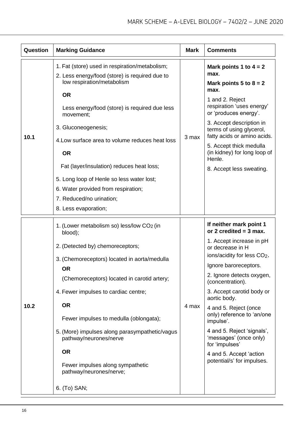| Question | <b>Marking Guidance</b>                                                                                                        | <b>Mark</b> | <b>Comments</b>                                                                     |
|----------|--------------------------------------------------------------------------------------------------------------------------------|-------------|-------------------------------------------------------------------------------------|
| 10.1     | 1. Fat (store) used in respiration/metabolism;<br>2. Less energy/food (store) is required due to<br>low respiration/metabolism | 3 max       | Mark points 1 to $4 = 2$<br>max.<br>Mark points $5$ to $8 = 2$                      |
|          | <b>OR</b><br>Less energy/food (store) is required due less<br>movement;                                                        |             | max.<br>1 and 2. Reject<br>respiration 'uses energy'<br>or 'produces energy'.       |
|          | 3. Gluconeogenesis;                                                                                                            |             | 3. Accept description in<br>terms of using glycerol,<br>fatty acids or amino acids. |
|          | 4. Low surface area to volume reduces heat loss<br><b>OR</b>                                                                   |             | 5. Accept thick medulla<br>(in kidney) for long loop of<br>Henle.                   |
|          | Fat (layer/insulation) reduces heat loss;                                                                                      |             | 8. Accept less sweating.                                                            |
|          | 5. Long loop of Henle so less water lost;                                                                                      |             |                                                                                     |
|          | 6. Water provided from respiration;                                                                                            |             |                                                                                     |
|          | 7. Reduced/no urination;                                                                                                       |             |                                                                                     |
|          | 8. Less evaporation;                                                                                                           |             |                                                                                     |
| 10.2     | 1. (Lower metabolism so) less/low CO <sub>2</sub> (in<br>blood);                                                               | 4 max       | If neither mark point 1<br>or 2 credited $=$ 3 max.                                 |
|          | 2. (Detected by) chemoreceptors;                                                                                               |             | 1. Accept increase in pH<br>or decrease in H<br>ions/acidity for less CO2.          |
|          | 3. (Chemoreceptors) located in aorta/medulla                                                                                   |             | Ignore baroreceptors.                                                               |
|          | <b>OR</b><br>(Chemoreceptors) located in carotid artery;                                                                       |             | 2. Ignore detects oxygen,<br>(concentration).                                       |
|          | 4. Fewer impulses to cardiac centre;                                                                                           |             | 3. Accept carotid body or<br>aortic body.                                           |
|          | <b>OR</b>                                                                                                                      |             | 4 and 5. Reject (once<br>only) reference to 'an/one                                 |
|          | Fewer impulses to medulla (oblongata);                                                                                         |             | impulse'.                                                                           |
|          | 5. (More) impulses along parasympathetic/vagus<br>pathway/neurones/nerve                                                       |             | 4 and 5. Reject 'signals',<br>'messages' (once only)<br>for 'impulses'              |
|          | <b>OR</b>                                                                                                                      |             | 4 and 5. Accept 'action                                                             |
|          | Fewer impulses along sympathetic<br>pathway/neurones/nerve;                                                                    |             | potential/s' for impulses.                                                          |
|          | 6. (To) SAN;                                                                                                                   |             |                                                                                     |